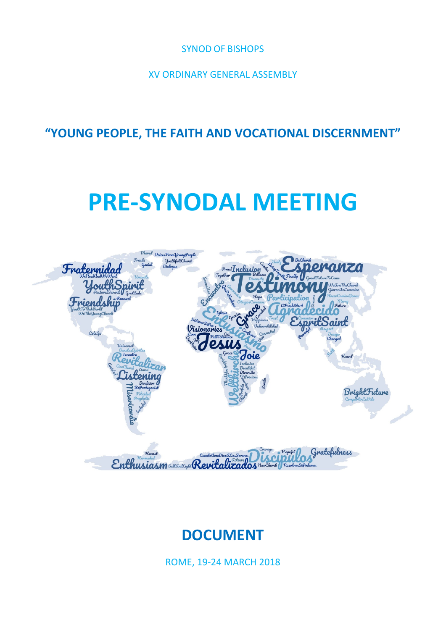SYNOD OF BISHOPS

XV ORDINARY GENERAL ASSEMBLY

**"YOUNG PEOPLE, THE FAITH AND VOCATIONAL DISCERNMENT"**

# **PRE‐SYNODAL MEETING**



## **DOCUMENT**

ROME, 19‐24 MARCH 2018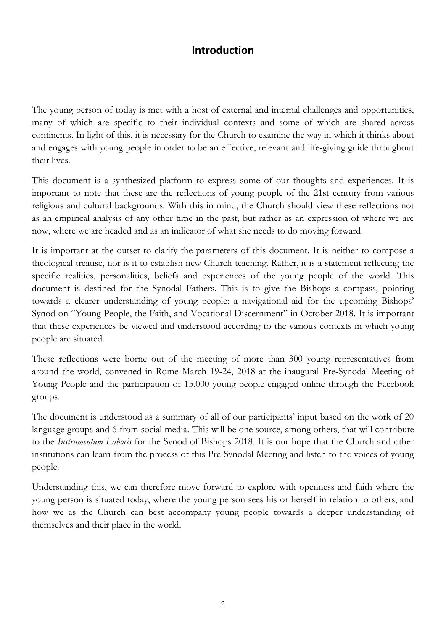## **Introduction**

The young person of today is met with a host of external and internal challenges and opportunities, many of which are specific to their individual contexts and some of which are shared across continents. In light of this, it is necessary for the Church to examine the way in which it thinks about and engages with young people in order to be an effective, relevant and life-giving guide throughout their lives.

This document is a synthesized platform to express some of our thoughts and experiences. It is important to note that these are the reflections of young people of the 21st century from various religious and cultural backgrounds. With this in mind, the Church should view these reflections not as an empirical analysis of any other time in the past, but rather as an expression of where we are now, where we are headed and as an indicator of what she needs to do moving forward.

It is important at the outset to clarify the parameters of this document. It is neither to compose a theological treatise, nor is it to establish new Church teaching. Rather, it is a statement reflecting the specific realities, personalities, beliefs and experiences of the young people of the world. This document is destined for the Synodal Fathers. This is to give the Bishops a compass, pointing towards a clearer understanding of young people: a navigational aid for the upcoming Bishops' Synod on "Young People, the Faith, and Vocational Discernment" in October 2018. It is important that these experiences be viewed and understood according to the various contexts in which young people are situated.

These reflections were borne out of the meeting of more than 300 young representatives from around the world, convened in Rome March 19-24, 2018 at the inaugural Pre-Synodal Meeting of Young People and the participation of 15,000 young people engaged online through the Facebook groups.

The document is understood as a summary of all of our participants' input based on the work of 20 language groups and 6 from social media. This will be one source, among others, that will contribute to the *Instrumentum Laboris* for the Synod of Bishops 2018. It is our hope that the Church and other institutions can learn from the process of this Pre-Synodal Meeting and listen to the voices of young people.

Understanding this, we can therefore move forward to explore with openness and faith where the young person is situated today, where the young person sees his or herself in relation to others, and how we as the Church can best accompany young people towards a deeper understanding of themselves and their place in the world.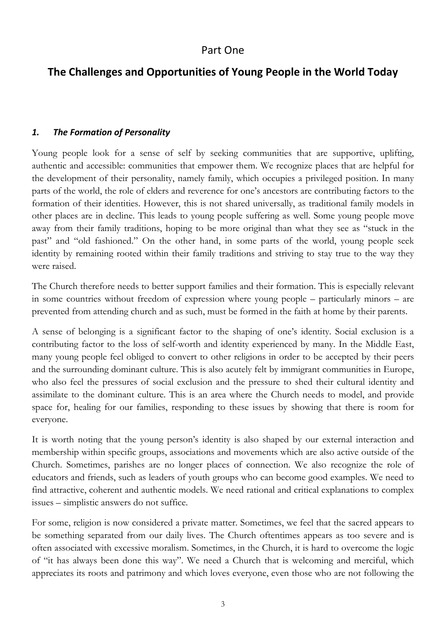## **The Challenges and Opportunities of Young People in the World Today**

## *1. The Formation of Personality*

Young people look for a sense of self by seeking communities that are supportive, uplifting, authentic and accessible: communities that empower them. We recognize places that are helpful for the development of their personality, namely family, which occupies a privileged position. In many parts of the world, the role of elders and reverence for one's ancestors are contributing factors to the formation of their identities. However, this is not shared universally, as traditional family models in other places are in decline. This leads to young people suffering as well. Some young people move away from their family traditions, hoping to be more original than what they see as "stuck in the past" and "old fashioned." On the other hand, in some parts of the world, young people seek identity by remaining rooted within their family traditions and striving to stay true to the way they were raised.

The Church therefore needs to better support families and their formation. This is especially relevant in some countries without freedom of expression where young people – particularly minors – are prevented from attending church and as such, must be formed in the faith at home by their parents.

A sense of belonging is a significant factor to the shaping of one's identity. Social exclusion is a contributing factor to the loss of self-worth and identity experienced by many. In the Middle East, many young people feel obliged to convert to other religions in order to be accepted by their peers and the surrounding dominant culture. This is also acutely felt by immigrant communities in Europe, who also feel the pressures of social exclusion and the pressure to shed their cultural identity and assimilate to the dominant culture. This is an area where the Church needs to model, and provide space for, healing for our families, responding to these issues by showing that there is room for everyone.

It is worth noting that the young person's identity is also shaped by our external interaction and membership within specific groups, associations and movements which are also active outside of the Church. Sometimes, parishes are no longer places of connection. We also recognize the role of educators and friends, such as leaders of youth groups who can become good examples. We need to find attractive, coherent and authentic models. We need rational and critical explanations to complex issues – simplistic answers do not suffice.

For some, religion is now considered a private matter. Sometimes, we feel that the sacred appears to be something separated from our daily lives. The Church oftentimes appears as too severe and is often associated with excessive moralism. Sometimes, in the Church, it is hard to overcome the logic of "it has always been done this way". We need a Church that is welcoming and merciful, which appreciates its roots and patrimony and which loves everyone, even those who are not following the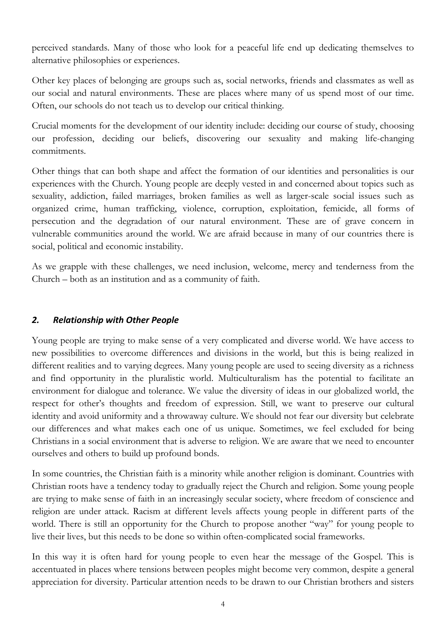perceived standards. Many of those who look for a peaceful life end up dedicating themselves to alternative philosophies or experiences.

Other key places of belonging are groups such as, social networks, friends and classmates as well as our social and natural environments. These are places where many of us spend most of our time. Often, our schools do not teach us to develop our critical thinking.

Crucial moments for the development of our identity include: deciding our course of study, choosing our profession, deciding our beliefs, discovering our sexuality and making life-changing commitments.

Other things that can both shape and affect the formation of our identities and personalities is our experiences with the Church. Young people are deeply vested in and concerned about topics such as sexuality, addiction, failed marriages, broken families as well as larger-scale social issues such as organized crime, human trafficking, violence, corruption, exploitation, femicide, all forms of persecution and the degradation of our natural environment. These are of grave concern in vulnerable communities around the world. We are afraid because in many of our countries there is social, political and economic instability.

As we grapple with these challenges, we need inclusion, welcome, mercy and tenderness from the Church – both as an institution and as a community of faith.

## *2. Relationship with Other People*

Young people are trying to make sense of a very complicated and diverse world. We have access to new possibilities to overcome differences and divisions in the world, but this is being realized in different realities and to varying degrees. Many young people are used to seeing diversity as a richness and find opportunity in the pluralistic world. Multiculturalism has the potential to facilitate an environment for dialogue and tolerance. We value the diversity of ideas in our globalized world, the respect for other's thoughts and freedom of expression. Still, we want to preserve our cultural identity and avoid uniformity and a throwaway culture. We should not fear our diversity but celebrate our differences and what makes each one of us unique. Sometimes, we feel excluded for being Christians in a social environment that is adverse to religion. We are aware that we need to encounter ourselves and others to build up profound bonds.

In some countries, the Christian faith is a minority while another religion is dominant. Countries with Christian roots have a tendency today to gradually reject the Church and religion. Some young people are trying to make sense of faith in an increasingly secular society, where freedom of conscience and religion are under attack. Racism at different levels affects young people in different parts of the world. There is still an opportunity for the Church to propose another "way" for young people to live their lives, but this needs to be done so within often-complicated social frameworks.

In this way it is often hard for young people to even hear the message of the Gospel. This is accentuated in places where tensions between peoples might become very common, despite a general appreciation for diversity. Particular attention needs to be drawn to our Christian brothers and sisters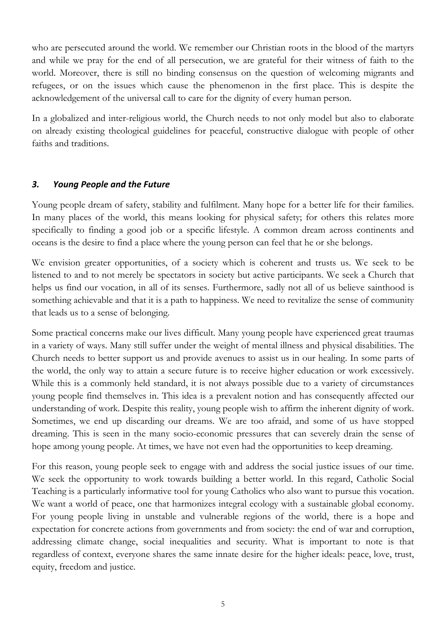who are persecuted around the world. We remember our Christian roots in the blood of the martyrs and while we pray for the end of all persecution, we are grateful for their witness of faith to the world. Moreover, there is still no binding consensus on the question of welcoming migrants and refugees, or on the issues which cause the phenomenon in the first place. This is despite the acknowledgement of the universal call to care for the dignity of every human person.

In a globalized and inter-religious world, the Church needs to not only model but also to elaborate on already existing theological guidelines for peaceful, constructive dialogue with people of other faiths and traditions.

## *3. Young People and the Future*

Young people dream of safety, stability and fulfilment. Many hope for a better life for their families. In many places of the world, this means looking for physical safety; for others this relates more specifically to finding a good job or a specific lifestyle. A common dream across continents and oceans is the desire to find a place where the young person can feel that he or she belongs.

We envision greater opportunities, of a society which is coherent and trusts us. We seek to be listened to and to not merely be spectators in society but active participants. We seek a Church that helps us find our vocation, in all of its senses. Furthermore, sadly not all of us believe sainthood is something achievable and that it is a path to happiness. We need to revitalize the sense of community that leads us to a sense of belonging.

Some practical concerns make our lives difficult. Many young people have experienced great traumas in a variety of ways. Many still suffer under the weight of mental illness and physical disabilities. The Church needs to better support us and provide avenues to assist us in our healing. In some parts of the world, the only way to attain a secure future is to receive higher education or work excessively. While this is a commonly held standard, it is not always possible due to a variety of circumstances young people find themselves in. This idea is a prevalent notion and has consequently affected our understanding of work. Despite this reality, young people wish to affirm the inherent dignity of work. Sometimes, we end up discarding our dreams. We are too afraid, and some of us have stopped dreaming. This is seen in the many socio-economic pressures that can severely drain the sense of hope among young people. At times, we have not even had the opportunities to keep dreaming.

For this reason, young people seek to engage with and address the social justice issues of our time. We seek the opportunity to work towards building a better world. In this regard, Catholic Social Teaching is a particularly informative tool for young Catholics who also want to pursue this vocation. We want a world of peace, one that harmonizes integral ecology with a sustainable global economy. For young people living in unstable and vulnerable regions of the world, there is a hope and expectation for concrete actions from governments and from society: the end of war and corruption, addressing climate change, social inequalities and security. What is important to note is that regardless of context, everyone shares the same innate desire for the higher ideals: peace, love, trust, equity, freedom and justice.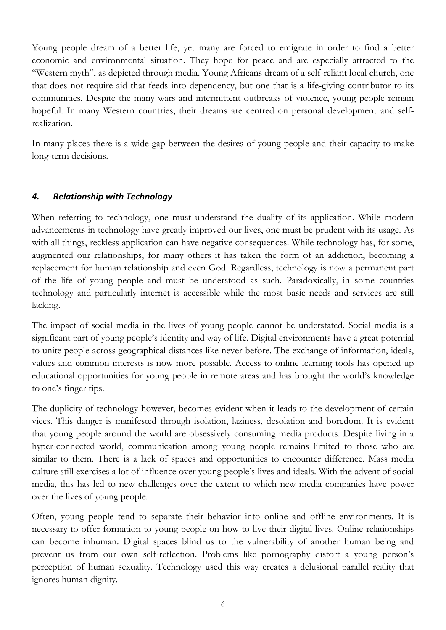Young people dream of a better life, yet many are forced to emigrate in order to find a better economic and environmental situation. They hope for peace and are especially attracted to the "Western myth", as depicted through media. Young Africans dream of a self-reliant local church, one that does not require aid that feeds into dependency, but one that is a life-giving contributor to its communities. Despite the many wars and intermittent outbreaks of violence, young people remain hopeful. In many Western countries, their dreams are centred on personal development and selfrealization.

In many places there is a wide gap between the desires of young people and their capacity to make long-term decisions.

## *4. Relationship with Technology*

When referring to technology, one must understand the duality of its application. While modern advancements in technology have greatly improved our lives, one must be prudent with its usage. As with all things, reckless application can have negative consequences. While technology has, for some, augmented our relationships, for many others it has taken the form of an addiction, becoming a replacement for human relationship and even God. Regardless, technology is now a permanent part of the life of young people and must be understood as such. Paradoxically, in some countries technology and particularly internet is accessible while the most basic needs and services are still lacking.

The impact of social media in the lives of young people cannot be understated. Social media is a significant part of young people's identity and way of life. Digital environments have a great potential to unite people across geographical distances like never before. The exchange of information, ideals, values and common interests is now more possible. Access to online learning tools has opened up educational opportunities for young people in remote areas and has brought the world's knowledge to one's finger tips.

The duplicity of technology however, becomes evident when it leads to the development of certain vices. This danger is manifested through isolation, laziness, desolation and boredom. It is evident that young people around the world are obsessively consuming media products. Despite living in a hyper-connected world, communication among young people remains limited to those who are similar to them. There is a lack of spaces and opportunities to encounter difference. Mass media culture still exercises a lot of influence over young people's lives and ideals. With the advent of social media, this has led to new challenges over the extent to which new media companies have power over the lives of young people.

Often, young people tend to separate their behavior into online and offline environments. It is necessary to offer formation to young people on how to live their digital lives. Online relationships can become inhuman. Digital spaces blind us to the vulnerability of another human being and prevent us from our own self-reflection. Problems like pornography distort a young person's perception of human sexuality. Technology used this way creates a delusional parallel reality that ignores human dignity.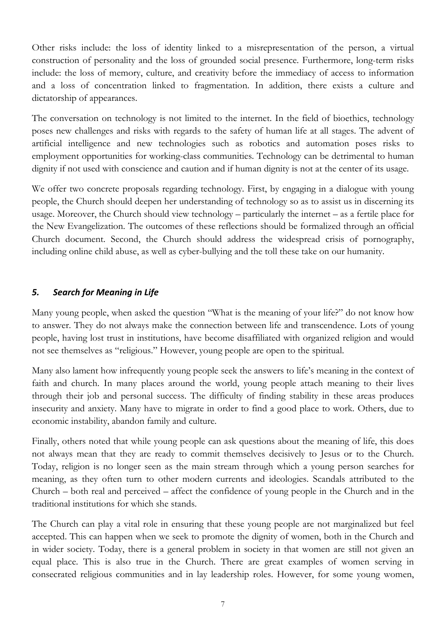Other risks include: the loss of identity linked to a misrepresentation of the person, a virtual construction of personality and the loss of grounded social presence. Furthermore, long-term risks include: the loss of memory, culture, and creativity before the immediacy of access to information and a loss of concentration linked to fragmentation. In addition, there exists a culture and dictatorship of appearances.

The conversation on technology is not limited to the internet. In the field of bioethics, technology poses new challenges and risks with regards to the safety of human life at all stages. The advent of artificial intelligence and new technologies such as robotics and automation poses risks to employment opportunities for working-class communities. Technology can be detrimental to human dignity if not used with conscience and caution and if human dignity is not at the center of its usage.

We offer two concrete proposals regarding technology. First, by engaging in a dialogue with young people, the Church should deepen her understanding of technology so as to assist us in discerning its usage. Moreover, the Church should view technology – particularly the internet – as a fertile place for the New Evangelization. The outcomes of these reflections should be formalized through an official Church document. Second, the Church should address the widespread crisis of pornography, including online child abuse, as well as cyber-bullying and the toll these take on our humanity.

## *5. Search for Meaning in Life*

Many young people, when asked the question "What is the meaning of your life?" do not know how to answer. They do not always make the connection between life and transcendence. Lots of young people, having lost trust in institutions, have become disaffiliated with organized religion and would not see themselves as "religious." However, young people are open to the spiritual.

Many also lament how infrequently young people seek the answers to life's meaning in the context of faith and church. In many places around the world, young people attach meaning to their lives through their job and personal success. The difficulty of finding stability in these areas produces insecurity and anxiety. Many have to migrate in order to find a good place to work. Others, due to economic instability, abandon family and culture.

Finally, others noted that while young people can ask questions about the meaning of life, this does not always mean that they are ready to commit themselves decisively to Jesus or to the Church. Today, religion is no longer seen as the main stream through which a young person searches for meaning, as they often turn to other modern currents and ideologies. Scandals attributed to the Church – both real and perceived – affect the confidence of young people in the Church and in the traditional institutions for which she stands.

The Church can play a vital role in ensuring that these young people are not marginalized but feel accepted. This can happen when we seek to promote the dignity of women, both in the Church and in wider society. Today, there is a general problem in society in that women are still not given an equal place. This is also true in the Church. There are great examples of women serving in consecrated religious communities and in lay leadership roles. However, for some young women,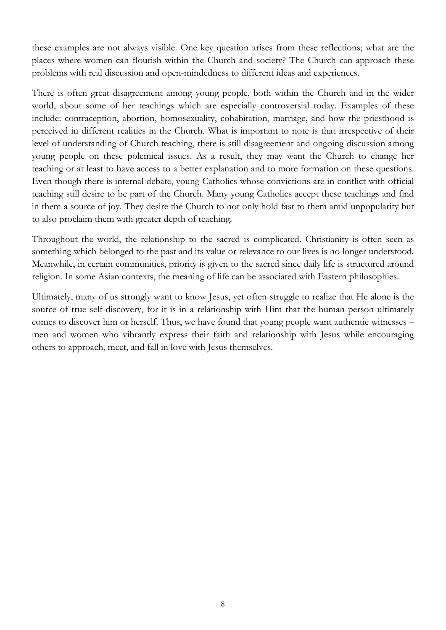these examples are not always visible. One key question arises from these reflections; what are the places where women can flourish within the Church and society? The Church can approach these problems with real discussion and open-mindedness to different ideas and experiences.

There is often great disagreement among young people, both within the Church and in the wider world, about some of her teachings which are especially controversial today. Examples of these include: contraception, abortion, homosexuality, cohabitation, marriage, and how the priesthood is perceived in different realities in the Church. What is important to note is that irrespective of their level of understanding of Church teaching, there is still disagreement and ongoing discussion among young people on these polemical issues. As a result, they may want the Church to change her teaching or at least to have access to a better explanation and to more formation on these questions. Even though there is internal debate, young Catholics whose convictions are in conflict with official teaching still desire to be part of the Church. Many young Catholics accept these teachings and find in them a source of joy. They desire the Church to not only hold fast to them amid unpopularity but to also proclaim them with greater depth of teaching.

Throughout the world, the relationship to the sacred is complicated. Christianity is often seen as something which belonged to the past and its value or relevance to our lives is no longer understood. Meanwhile, in certain communities, priority is given to the sacred since daily life is structured around religion. In some Asian contexts, the meaning of life can be associated with Eastern philosophies.

Ultimately, many of us strongly want to know Jesus, yet often struggle to realize that He alone is the source of true self-discovery, for it is in a relationship with Him that the human person ultimately comes to discover him or herself. Thus, we have found that young people want authentic witnesses – men and women who vibrantly express their faith and relationship with Jesus while encouraging others to approach, meet, and fall in love with Jesus themselves.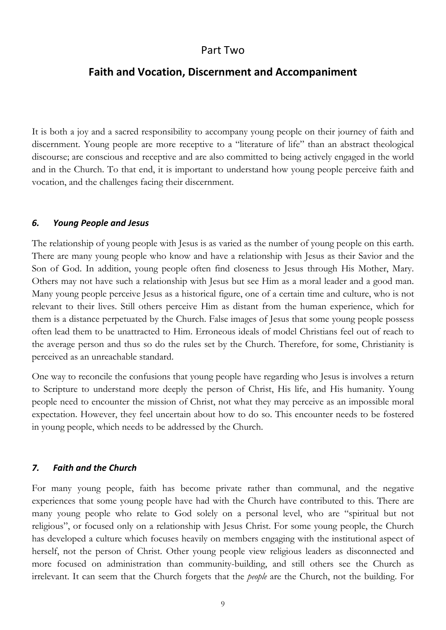#### Part Two

## **Faith and Vocation, Discernment and Accompaniment**

It is both a joy and a sacred responsibility to accompany young people on their journey of faith and discernment. Young people are more receptive to a "literature of life" than an abstract theological discourse; are conscious and receptive and are also committed to being actively engaged in the world and in the Church. To that end, it is important to understand how young people perceive faith and vocation, and the challenges facing their discernment.

#### *6. Young People and Jesus*

The relationship of young people with Jesus is as varied as the number of young people on this earth. There are many young people who know and have a relationship with Jesus as their Savior and the Son of God. In addition, young people often find closeness to Jesus through His Mother, Mary. Others may not have such a relationship with Jesus but see Him as a moral leader and a good man. Many young people perceive Jesus as a historical figure, one of a certain time and culture, who is not relevant to their lives. Still others perceive Him as distant from the human experience, which for them is a distance perpetuated by the Church. False images of Jesus that some young people possess often lead them to be unattracted to Him. Erroneous ideals of model Christians feel out of reach to the average person and thus so do the rules set by the Church. Therefore, for some, Christianity is perceived as an unreachable standard.

One way to reconcile the confusions that young people have regarding who Jesus is involves a return to Scripture to understand more deeply the person of Christ, His life, and His humanity. Young people need to encounter the mission of Christ, not what they may perceive as an impossible moral expectation. However, they feel uncertain about how to do so. This encounter needs to be fostered in young people, which needs to be addressed by the Church.

#### *7. Faith and the Church*

For many young people, faith has become private rather than communal, and the negative experiences that some young people have had with the Church have contributed to this. There are many young people who relate to God solely on a personal level, who are "spiritual but not religious", or focused only on a relationship with Jesus Christ. For some young people, the Church has developed a culture which focuses heavily on members engaging with the institutional aspect of herself, not the person of Christ. Other young people view religious leaders as disconnected and more focused on administration than community-building, and still others see the Church as irrelevant. It can seem that the Church forgets that the *people* are the Church, not the building. For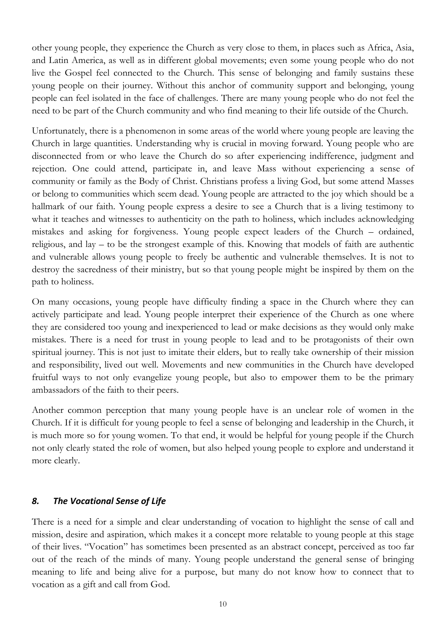other young people, they experience the Church as very close to them, in places such as Africa, Asia, and Latin America, as well as in different global movements; even some young people who do not live the Gospel feel connected to the Church. This sense of belonging and family sustains these young people on their journey. Without this anchor of community support and belonging, young people can feel isolated in the face of challenges. There are many young people who do not feel the need to be part of the Church community and who find meaning to their life outside of the Church.

Unfortunately, there is a phenomenon in some areas of the world where young people are leaving the Church in large quantities. Understanding why is crucial in moving forward. Young people who are disconnected from or who leave the Church do so after experiencing indifference, judgment and rejection. One could attend, participate in, and leave Mass without experiencing a sense of community or family as the Body of Christ. Christians profess a living God, but some attend Masses or belong to communities which seem dead. Young people are attracted to the joy which should be a hallmark of our faith. Young people express a desire to see a Church that is a living testimony to what it teaches and witnesses to authenticity on the path to holiness, which includes acknowledging mistakes and asking for forgiveness. Young people expect leaders of the Church – ordained, religious, and lay – to be the strongest example of this. Knowing that models of faith are authentic and vulnerable allows young people to freely be authentic and vulnerable themselves. It is not to destroy the sacredness of their ministry, but so that young people might be inspired by them on the path to holiness.

On many occasions, young people have difficulty finding a space in the Church where they can actively participate and lead. Young people interpret their experience of the Church as one where they are considered too young and inexperienced to lead or make decisions as they would only make mistakes. There is a need for trust in young people to lead and to be protagonists of their own spiritual journey. This is not just to imitate their elders, but to really take ownership of their mission and responsibility, lived out well. Movements and new communities in the Church have developed fruitful ways to not only evangelize young people, but also to empower them to be the primary ambassadors of the faith to their peers.

Another common perception that many young people have is an unclear role of women in the Church. If it is difficult for young people to feel a sense of belonging and leadership in the Church, it is much more so for young women. To that end, it would be helpful for young people if the Church not only clearly stated the role of women, but also helped young people to explore and understand it more clearly.

## *8. The Vocational Sense of Life*

There is a need for a simple and clear understanding of vocation to highlight the sense of call and mission, desire and aspiration, which makes it a concept more relatable to young people at this stage of their lives. "Vocation" has sometimes been presented as an abstract concept, perceived as too far out of the reach of the minds of many. Young people understand the general sense of bringing meaning to life and being alive for a purpose, but many do not know how to connect that to vocation as a gift and call from God.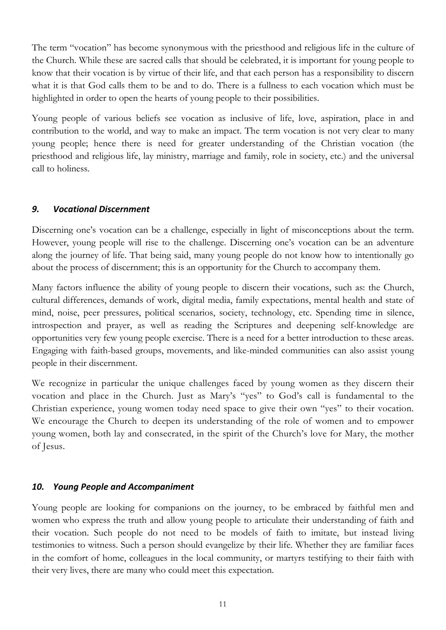The term "vocation" has become synonymous with the priesthood and religious life in the culture of the Church. While these are sacred calls that should be celebrated, it is important for young people to know that their vocation is by virtue of their life, and that each person has a responsibility to discern what it is that God calls them to be and to do. There is a fullness to each vocation which must be highlighted in order to open the hearts of young people to their possibilities.

Young people of various beliefs see vocation as inclusive of life, love, aspiration, place in and contribution to the world, and way to make an impact. The term vocation is not very clear to many young people; hence there is need for greater understanding of the Christian vocation (the priesthood and religious life, lay ministry, marriage and family, role in society, etc.) and the universal call to holiness.

## *9. Vocational Discernment*

Discerning one's vocation can be a challenge, especially in light of misconceptions about the term. However, young people will rise to the challenge. Discerning one's vocation can be an adventure along the journey of life. That being said, many young people do not know how to intentionally go about the process of discernment; this is an opportunity for the Church to accompany them.

Many factors influence the ability of young people to discern their vocations, such as: the Church, cultural differences, demands of work, digital media, family expectations, mental health and state of mind, noise, peer pressures, political scenarios, society, technology, etc. Spending time in silence, introspection and prayer, as well as reading the Scriptures and deepening self-knowledge are opportunities very few young people exercise. There is a need for a better introduction to these areas. Engaging with faith-based groups, movements, and like-minded communities can also assist young people in their discernment.

We recognize in particular the unique challenges faced by young women as they discern their vocation and place in the Church. Just as Mary's "yes" to God's call is fundamental to the Christian experience, young women today need space to give their own "yes" to their vocation. We encourage the Church to deepen its understanding of the role of women and to empower young women, both lay and consecrated, in the spirit of the Church's love for Mary, the mother of Jesus.

## *10. Young People and Accompaniment*

Young people are looking for companions on the journey, to be embraced by faithful men and women who express the truth and allow young people to articulate their understanding of faith and their vocation. Such people do not need to be models of faith to imitate, but instead living testimonies to witness. Such a person should evangelize by their life. Whether they are familiar faces in the comfort of home, colleagues in the local community, or martyrs testifying to their faith with their very lives, there are many who could meet this expectation.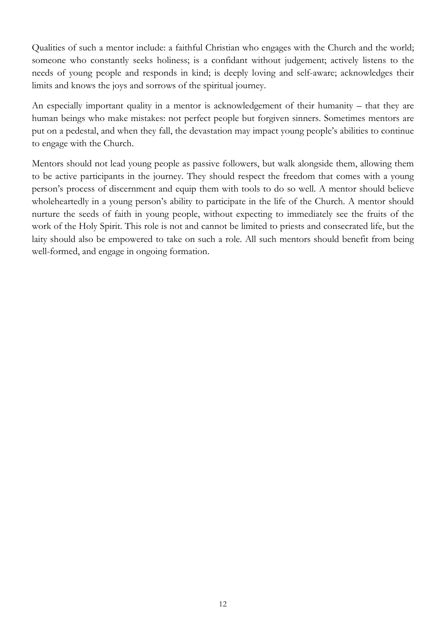Qualities of such a mentor include: a faithful Christian who engages with the Church and the world; someone who constantly seeks holiness; is a confidant without judgement; actively listens to the needs of young people and responds in kind; is deeply loving and self-aware; acknowledges their limits and knows the joys and sorrows of the spiritual journey.

An especially important quality in a mentor is acknowledgement of their humanity – that they are human beings who make mistakes: not perfect people but forgiven sinners. Sometimes mentors are put on a pedestal, and when they fall, the devastation may impact young people's abilities to continue to engage with the Church.

Mentors should not lead young people as passive followers, but walk alongside them, allowing them to be active participants in the journey. They should respect the freedom that comes with a young person's process of discernment and equip them with tools to do so well. A mentor should believe wholeheartedly in a young person's ability to participate in the life of the Church. A mentor should nurture the seeds of faith in young people, without expecting to immediately see the fruits of the work of the Holy Spirit. This role is not and cannot be limited to priests and consecrated life, but the laity should also be empowered to take on such a role. All such mentors should benefit from being well-formed, and engage in ongoing formation.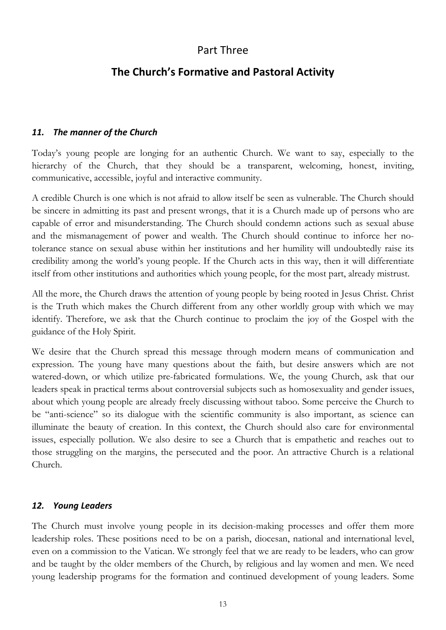## Part Three

## **The Church's Formative and Pastoral Activity**

## *11. The manner of the Church*

Today's young people are longing for an authentic Church. We want to say, especially to the hierarchy of the Church, that they should be a transparent, welcoming, honest, inviting, communicative, accessible, joyful and interactive community.

A credible Church is one which is not afraid to allow itself be seen as vulnerable. The Church should be sincere in admitting its past and present wrongs, that it is a Church made up of persons who are capable of error and misunderstanding. The Church should condemn actions such as sexual abuse and the mismanagement of power and wealth. The Church should continue to inforce her notolerance stance on sexual abuse within her institutions and her humility will undoubtedly raise its credibility among the world's young people. If the Church acts in this way, then it will differentiate itself from other institutions and authorities which young people, for the most part, already mistrust.

All the more, the Church draws the attention of young people by being rooted in Jesus Christ. Christ is the Truth which makes the Church different from any other worldly group with which we may identify. Therefore, we ask that the Church continue to proclaim the joy of the Gospel with the guidance of the Holy Spirit.

We desire that the Church spread this message through modern means of communication and expression. The young have many questions about the faith, but desire answers which are not watered-down, or which utilize pre-fabricated formulations. We, the young Church, ask that our leaders speak in practical terms about controversial subjects such as homosexuality and gender issues, about which young people are already freely discussing without taboo. Some perceive the Church to be "anti-science" so its dialogue with the scientific community is also important, as science can illuminate the beauty of creation. In this context, the Church should also care for environmental issues, especially pollution. We also desire to see a Church that is empathetic and reaches out to those struggling on the margins, the persecuted and the poor. An attractive Church is a relational Church.

## *12. Young Leaders*

The Church must involve young people in its decision-making processes and offer them more leadership roles. These positions need to be on a parish, diocesan, national and international level, even on a commission to the Vatican. We strongly feel that we are ready to be leaders, who can grow and be taught by the older members of the Church, by religious and lay women and men. We need young leadership programs for the formation and continued development of young leaders. Some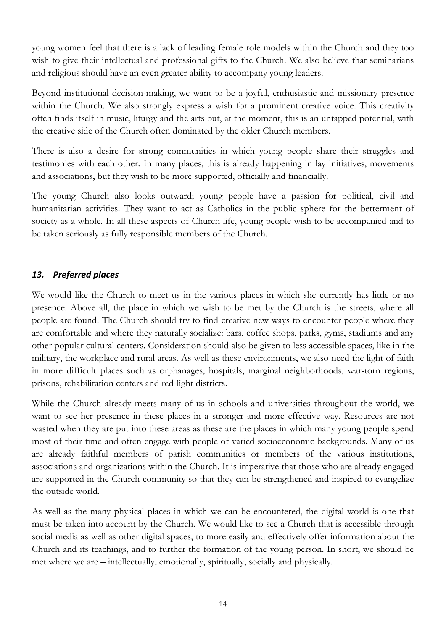young women feel that there is a lack of leading female role models within the Church and they too wish to give their intellectual and professional gifts to the Church. We also believe that seminarians and religious should have an even greater ability to accompany young leaders.

Beyond institutional decision-making, we want to be a joyful, enthusiastic and missionary presence within the Church. We also strongly express a wish for a prominent creative voice. This creativity often finds itself in music, liturgy and the arts but, at the moment, this is an untapped potential, with the creative side of the Church often dominated by the older Church members.

There is also a desire for strong communities in which young people share their struggles and testimonies with each other. In many places, this is already happening in lay initiatives, movements and associations, but they wish to be more supported, officially and financially.

The young Church also looks outward; young people have a passion for political, civil and humanitarian activities. They want to act as Catholics in the public sphere for the betterment of society as a whole. In all these aspects of Church life, young people wish to be accompanied and to be taken seriously as fully responsible members of the Church.

## *13. Preferred places*

We would like the Church to meet us in the various places in which she currently has little or no presence. Above all, the place in which we wish to be met by the Church is the streets, where all people are found. The Church should try to find creative new ways to encounter people where they are comfortable and where they naturally socialize: bars, coffee shops, parks, gyms, stadiums and any other popular cultural centers. Consideration should also be given to less accessible spaces, like in the military, the workplace and rural areas. As well as these environments, we also need the light of faith in more difficult places such as orphanages, hospitals, marginal neighborhoods, war-torn regions, prisons, rehabilitation centers and red-light districts.

While the Church already meets many of us in schools and universities throughout the world, we want to see her presence in these places in a stronger and more effective way. Resources are not wasted when they are put into these areas as these are the places in which many young people spend most of their time and often engage with people of varied socioeconomic backgrounds. Many of us are already faithful members of parish communities or members of the various institutions, associations and organizations within the Church. It is imperative that those who are already engaged are supported in the Church community so that they can be strengthened and inspired to evangelize the outside world.

As well as the many physical places in which we can be encountered, the digital world is one that must be taken into account by the Church. We would like to see a Church that is accessible through social media as well as other digital spaces, to more easily and effectively offer information about the Church and its teachings, and to further the formation of the young person. In short, we should be met where we are – intellectually, emotionally, spiritually, socially and physically.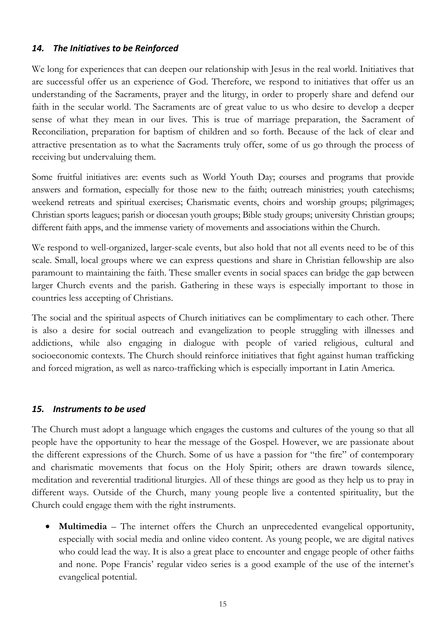## *14. The Initiatives to be Reinforced*

We long for experiences that can deepen our relationship with Jesus in the real world. Initiatives that are successful offer us an experience of God. Therefore, we respond to initiatives that offer us an understanding of the Sacraments, prayer and the liturgy, in order to properly share and defend our faith in the secular world. The Sacraments are of great value to us who desire to develop a deeper sense of what they mean in our lives. This is true of marriage preparation, the Sacrament of Reconciliation, preparation for baptism of children and so forth. Because of the lack of clear and attractive presentation as to what the Sacraments truly offer, some of us go through the process of receiving but undervaluing them.

Some fruitful initiatives are: events such as World Youth Day; courses and programs that provide answers and formation, especially for those new to the faith; outreach ministries; youth catechisms; weekend retreats and spiritual exercises; Charismatic events, choirs and worship groups; pilgrimages; Christian sports leagues; parish or diocesan youth groups; Bible study groups; university Christian groups; different faith apps, and the immense variety of movements and associations within the Church.

We respond to well-organized, larger-scale events, but also hold that not all events need to be of this scale. Small, local groups where we can express questions and share in Christian fellowship are also paramount to maintaining the faith. These smaller events in social spaces can bridge the gap between larger Church events and the parish. Gathering in these ways is especially important to those in countries less accepting of Christians.

The social and the spiritual aspects of Church initiatives can be complimentary to each other. There is also a desire for social outreach and evangelization to people struggling with illnesses and addictions, while also engaging in dialogue with people of varied religious, cultural and socioeconomic contexts. The Church should reinforce initiatives that fight against human trafficking and forced migration, as well as narco-trafficking which is especially important in Latin America.

## *15. Instruments to be used*

The Church must adopt a language which engages the customs and cultures of the young so that all people have the opportunity to hear the message of the Gospel. However, we are passionate about the different expressions of the Church. Some of us have a passion for "the fire" of contemporary and charismatic movements that focus on the Holy Spirit; others are drawn towards silence, meditation and reverential traditional liturgies. All of these things are good as they help us to pray in different ways. Outside of the Church, many young people live a contented spirituality, but the Church could engage them with the right instruments.

 **Multimedia** – The internet offers the Church an unprecedented evangelical opportunity, especially with social media and online video content. As young people, we are digital natives who could lead the way. It is also a great place to encounter and engage people of other faiths and none. Pope Francis' regular video series is a good example of the use of the internet's evangelical potential.